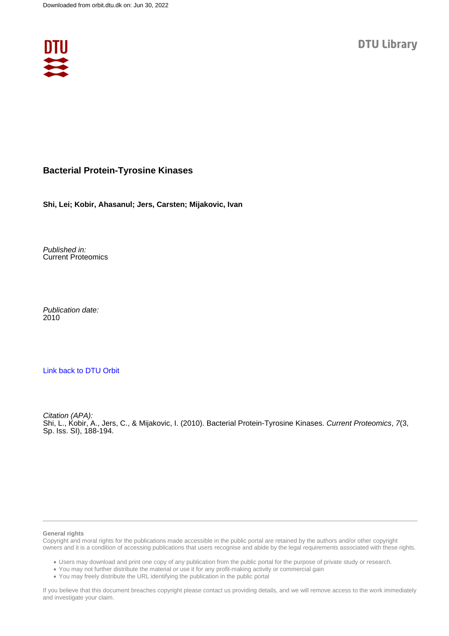

# **Bacterial Protein-Tyrosine Kinases**

**Shi, Lei; Kobir, Ahasanul; Jers, Carsten; Mijakovic, Ivan**

Published in: Current Proteomics

Publication date: 2010

## [Link back to DTU Orbit](https://orbit.dtu.dk/en/publications/9f084362-c9af-4ccb-a215-92db67d5b916)

Citation (APA): Shi, L., Kobir, A., Jers, C., & Mijakovic, I. (2010). Bacterial Protein-Tyrosine Kinases. Current Proteomics, 7(3, Sp. Iss. SI), 188-194.

#### **General rights**

Copyright and moral rights for the publications made accessible in the public portal are retained by the authors and/or other copyright owners and it is a condition of accessing publications that users recognise and abide by the legal requirements associated with these rights.

Users may download and print one copy of any publication from the public portal for the purpose of private study or research.

- You may not further distribute the material or use it for any profit-making activity or commercial gain
- You may freely distribute the URL identifying the publication in the public portal

If you believe that this document breaches copyright please contact us providing details, and we will remove access to the work immediately and investigate your claim.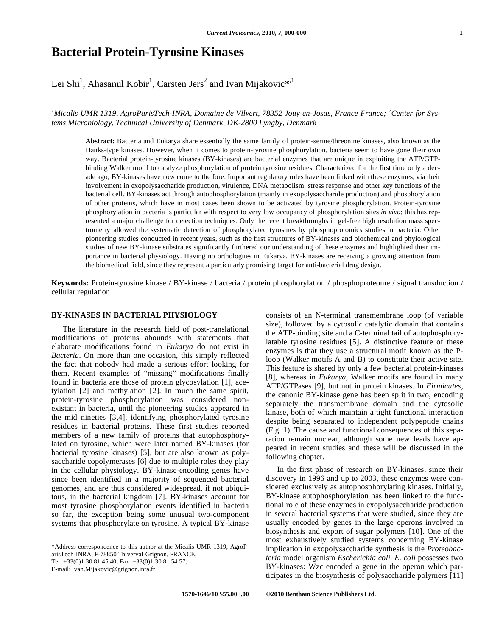# **Bacterial Protein-Tyrosine Kinases**

Lei Shi<sup>1</sup>, Ahasanul Kobir<sup>1</sup>, Carsten Jers<sup>2</sup> and Ivan Mijakovic\*<sup>1</sup>

<sup>1</sup>Micalis UMR 1319, AgroParisTech-INRA, Domaine de Vilvert, 78352 Jouy-en-Josas, France France; <sup>2</sup>Center for Sys*tems Microbiology, Technical University of Denmark, DK-2800 Lyngby, Denmark* 

**Abstract:** Bacteria and Eukarya share essentially the same family of protein-serine/threonine kinases, also known as the Hanks-type kinases. However, when it comes to protein-tyrosine phosphorylation, bacteria seem to have gone their own way. Bacterial protein-tyrosine kinases (BY-kinases) are bacterial enzymes that are unique in exploiting the ATP/GTPbinding Walker motif to catalyze phosphorylation of protein tyrosine residues. Characterized for the first time only a decade ago, BY-kinases have now come to the fore. Important regulatory roles have been linked with these enzymes, via their involvement in exopolysaccharide production, virulence, DNA metabolism, stress response and other key functions of the bacterial cell. BY-kinases act through autophosphorylation (mainly in exopolysaccharide production) and phosphorylation of other proteins, which have in most cases been shown to be activated by tyrosine phosphorylation. Protein-tyrosine phosphorylation in bacteria is particular with respect to very low occupancy of phosphorylation sites *in vivo*; this has represented a major challenge for detection techniques. Only the recent breakthroughs in gel-free high resolution mass spectrometry allowed the systematic detection of phosphorylated tyrosines by phosphoprotomics studies in bacteria. Other pioneering studies conducted in recent years, such as the first structures of BY-kinases and biochemical and phyiological studies of new BY-kinase substrates significantly furthered our understanding of these enzymes and highlighted their importance in bacterial physiology. Having no orthologues in Eukarya, BY-kinases are receiving a growing attention from the biomedical field, since they represent a particularly promising target for anti-bacterial drug design.

**Keywords:** Protein-tyrosine kinase / BY-kinase / bacteria / protein phosphorylation / phosphoproteome / signal transduction / cellular regulation

#### **BY-KINASES IN BACTERIAL PHYSIOLOGY**

 The literature in the research field of post-translational modifications of proteins abounds with statements that elaborate modifications found in *Eukarya* do not exist in *Bacteria*. On more than one occasion, this simply reflected the fact that nobody had made a serious effort looking for them. Recent examples of "missing" modifications finally found in bacteria are those of protein glycosylation [1], acetylation [2] and methylation [2]. In much the same spirit, protein-tyrosine phosphorylation was considered nonexistant in bacteria, until the pioneering studies appeared in the mid nineties [3,4], identifying phosphorylated tyrosine residues in bacterial proteins. These first studies reported members of a new family of proteins that autophosphorylated on tyrosine, which were later named BY-kinases (for bacterial tyrosine kinases) [5], but are also known as polysaccharide copolymerases [6] due to multiple roles they play in the cellular physiology. BY-kinase-encoding genes have since been identified in a majority of sequenced bacterial genomes, and are thus considered widespread, if not ubiquitous, in the bacterial kingdom [7]. BY-kinases account for most tyrosine phosphorylation events identified in bacteria so far, the exception being some unusual two-component systems that phosphorylate on tyrosine. A typical BY-kinase

\*Address correspondence to this author at the Micalis UMR 1319, AgroParisTech-INRA, F-78850 Thiverval-Grignon, FRANCE,

E-mail: Ivan.Mijakovic@grignon.inra.fr

consists of an N-terminal transmembrane loop (of variable size), followed by a cytosolic catalytic domain that contains the ATP-binding site and a C-terminal tail of autophosphorylatable tyrosine residues [5]. A distinctive feature of these enzymes is that they use a structural motif known as the Ploop (Walker motifs A and B) to constitute their active site. This feature is shared by only a few bacterial protein-kinases [8], whereas in *Eukarya*, Walker motifs are found in many ATP/GTPases [9], but not in protein kinases. In *Firmicutes*, the canonic BY-kinase gene has been split in two, encoding separately the transmembrane domain and the cytosolic kinase, both of which maintain a tight functional interaction despite being separated to independent polypeptide chains (Fig. **1**). The cause and functional consequences of this separation remain unclear, although some new leads have appeared in recent studies and these will be discussed in the following chapter.

 In the first phase of research on BY-kinases, since their discovery in 1996 and up to 2003, these enzymes were considered exclusively as autophosphorylating kinases. Initially, BY-kinase autophosphorylation has been linked to the functional role of these enzymes in exopolysaccharide production in several bacterial systems that were studied, since they are usually encoded by genes in the large operons involved in biosynthesis and export of sugar polymers [10]. One of the most exhaustively studied systems concerning BY-kinase implication in exopolysaccharide synthesis is the *Proteobacteria* model organism *Escherichia coli. E. coli* possesses two BY-kinases: Wzc encoded a gene in the operon which participates in the biosynthesis of polysaccharide polymers [11]

Tel: +33(0)1 30 81 45 40, Fax: +33(0)1 30 81 54 57;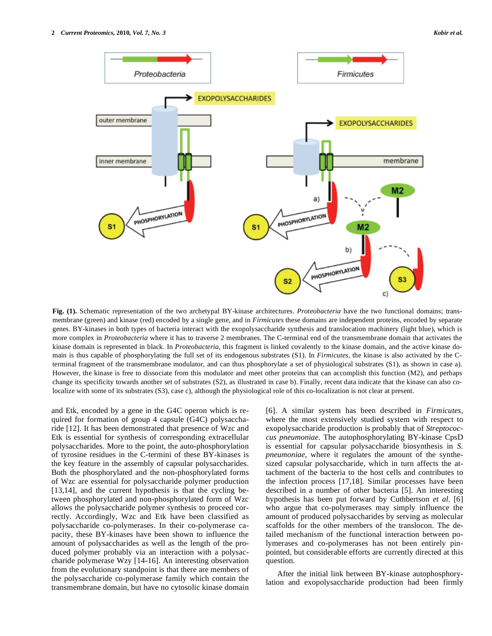

**Fig. (1).** Schematic representation of the two archetypal BY-kinase architectures. *Proteobacteria* have the two functional domains; transmembrane (green) and kinase (red) encoded by a single gene, and in *Firmicutes* these domains are independent proteins, encoded by separate genes. BY-kinases in both types of bacteria interact with the exopolysaccharide synthesis and translocation machinery (light blue), which is more complex in *Proteobacteria* where it has to traverse 2 membranes. The C-terminal end of the transmembrane domain that activates the kinase domain is represented in black. In *Proteobacteria*, this fragment is linked covalently to the kinase domain, and the active kinase domain is thus capable of phosphorylating the full set of its endogenous substrates (S1). In *Firmicutes*, the kinase is also activated by the Cterminal fragment of the transmembrane modulator, and can thus phosphorylate a set of physiological substrates (S1), as shown in case a). However, the kinase is free to dissociate from this modulator and meet other proteins that can accomplish this function (M2), and perhaps change its specificity towards another set of substrates (S2), as illustrated in case b). Finally, recent data indicate that the kinase can also colocalize with some of its substrates (S3), case c), although the physiological role of this co-localization is not clear at present.

and Etk, encoded by a gene in the G4C operon which is required for formation of group 4 capsule (G4C) polysaccharide [12]. It has been demonstrated that presence of Wzc and Etk is essential for synthesis of corresponding extracellular polysaccharides. More to the point, the auto-phosphorylation of tyrosine residues in the C-termini of these BY-kinases is the key feature in the assembly of capsular polysaccharides. Both the phosphorylated and the non-phosphorylated forms of Wzc are essential for polysaccharide polymer production [13,14], and the current hypothesis is that the cycling between phosphorylated and non-phosphorylated form of Wzc allows the polysaccharide polymer synthesis to proceed correctly. Accordingly, Wzc and Etk have been classified as polysaccharide co-polymerases. In their co-polymerase capacity, these BY-kinases have been shown to influence the amount of polysaccharides as well as the length of the produced polymer probably via an interaction with a polysaccharide polymerase Wzy [14-16]. An interesting observation from the evolutionary standpoint is that there are members of the polysaccharide co-polymerase family which contain the transmembrane domain, but have no cytosolic kinase domain

[6]. A similar system has been described in *Firmicutes*, where the most extensively studied system with respect to exopolysaccharide production is probably that of *Streptococcus pneumoniae*. The autophosphorylating BY-kinase CpsD is essential for capsular polysaccharide biosynthesis in *S. pneumoniae*, where it regulates the amount of the synthesized capsular polysaccharide, which in turn affects the attachment of the bacteria to the host cells and contributes to the infection process [17,18]. Similar processes have been described in a number of other bacteria [5]. An interesting hypothesis has been put forward by Cuthbertson *et al*. [6] who argue that co-polymerases may simply influence the amount of produced polysaccharides by serving as molecular scaffolds for the other members of the translocon. The detailed mechanism of the functional interaction between polymerases and co-polymerases has not been entirely pinpointed, but considerable efforts are currently directed at this question.

 After the initial link between BY-kinase autophosphorylation and exopolysaccharide production had been firmly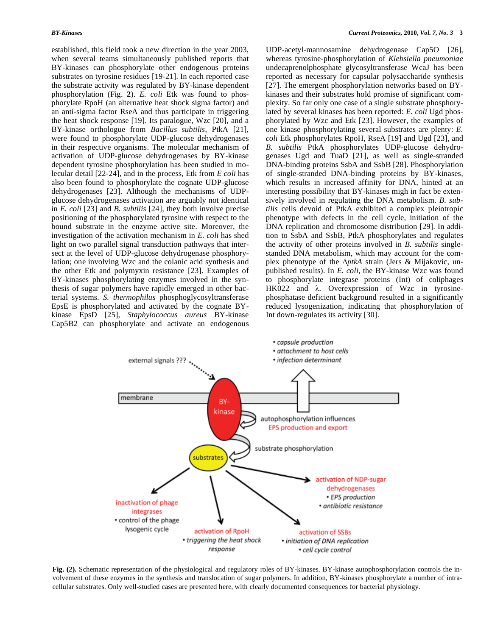established, this field took a new direction in the year 2003, when several teams simultaneously published reports that BY-kinases can phosphorylate other endogenous proteins substrates on tyrosine residues [19-21]. In each reported case the substrate activity was regulated by BY-kinase dependent phosphorylation (Fig. **2**). *E. coli* Etk was found to phosphorylate RpoH (an alternative heat shock sigma factor) and an anti-sigma factor RseA and thus participate in triggering the heat shock response [19]. Its paralogue, Wzc [20], and a BY-kinase orthologue from *Bacillus subtilis*, PtkA [21], were found to phosphorylate UDP-glucose dehydrogenases in their respective organisms. The molecular mechanism of activation of UDP-glucose dehydrogenases by BY-kinase dependent tyrosine phosphorylation has been studied in molecular detail [22-24], and in the process, Etk from *E coli* has also been found to phosphorylate the cognate UDP-glucose dehydrogenases [23]. Although the mechanisms of UDPglucose dehydrogenases activation are arguably not identical in *E. coli* [23] and *B. subtilis* [24], they both involve precise positioning of the phosphorylated tyrosine with respect to the bound substrate in the enzyme active site. Moreover, the investigation of the activation mechanism in *E. coli* has shed light on two parallel signal transduction pathways that intersect at the level of UDP-glucose dehydrogenase phosphorylation; one involving Wzc and the colanic acid synthesis and the other Etk and polymyxin resistance [23]. Examples of BY-kinases phosphorylating enzymes involved in the synthesis of sugar polymers have rapidly emerged in other bacterial systems. *S. thermophilus* phosphoglycosyltransferase EpsE is phosphorylated and activated by the cognate BYkinase EpsD [25], *Staphylococcus aureus* BY-kinase Cap5B2 can phosphorylate and activate an endogenous UDP-acetyl-mannosamine dehydrogenase Cap5O [26], whereas tyrosine-phosphorylation of *Klebsiella pneumoniae*  undecaprenolphosphate glycosyltransferase WcaJ has been reported as necessary for capsular polysaccharide synthesis [27]. The emergent phosphorylation networks based on BYkinases and their substrates hold promise of significant complexity. So far only one case of a single substrate phosphorylated by several kinases has been reported: *E. coli* Ugd phosphorylated by Wzc and Etk [23]. However, the examples of one kinase phosphorylating several substrates are plenty: *E. coli* Etk phosphorylates RpoH, RseA [19] and Ugd [23], and *B. subtilis* PtkA phosphorylates UDP-glucose dehydrogenases Ugd and TuaD [21], as well as single-stranded DNA-binding proteins SsbA and SsbB [28]. Phosphorylation of single-stranded DNA-binding proteins by BY-kinases, which results in increased affinity for DNA, hinted at an interesting possibility that BY-kinases migh in fact be extensively involved in regulating the DNA metabolism. *B. subtilis* cells devoid of PtkA exhibited a complex pleiotropic phenotype with defects in the cell cycle, initiation of the DNA replication and chromosome distribution [29]. In addition to SsbA and SsbB, PtkA phosphorylates and regulates the activity of other proteins involved in *B. subtilis* singlestanded DNA metabolism, which may account for the complex phenotype of the  $\Delta p$ tkA strain (Jers & Mijakovic, unpublished results). In *E. coli*, the BY-kinase Wzc was found to phosphorylate integrase proteins (Int) of coliphages HK022 and  $\lambda$ . Overexpression of Wzc in tyrosinephosphatase deficient background resulted in a significantly reduced lysogenization, indicating that phosphorylation of Int down-regulates its activity [30].



**Fig. (2).** Schematic representation of the physiological and regulatory roles of BY-kinases. BY-kinase autophosphorylation controls the involvement of these enzymes in the synthesis and translocation of sugar polymers. In addition, BY-kinases phosphorylate a number of intracellular substrates. Only well-studied cases are presented here, with clearly documented consequences for bacterial physiology.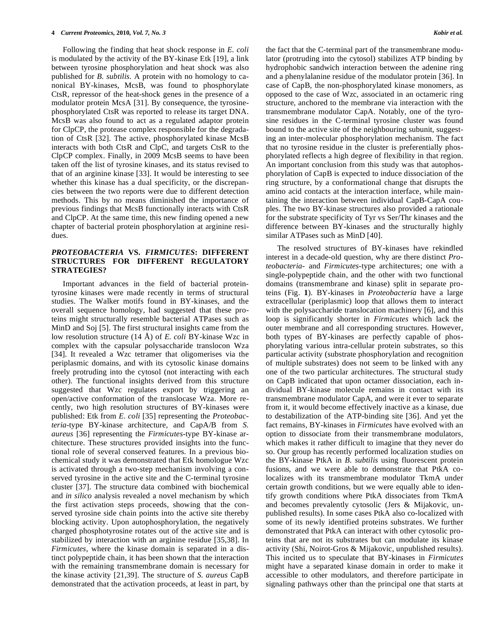Following the finding that heat shock response in *E. coli*  is modulated by the activity of the BY-kinase Etk [19], a link between tyrosine phosphorylation and heat shock was also published for *B. subtilis*. A protein with no homology to canonical BY-kinases, McsB, was found to phosphorylate CtsR, repressor of the heat-shock genes in the presence of a modulator protein McsA [31]. By consequence, the tyrosinephosphorylated CtsR was reported to release its target DNA. McsB was also found to act as a regulated adaptor protein for ClpCP, the protease complex responsible for the degradation of CtsR [32]. The active, phosphorylated kinase McsB interacts with both CtsR and ClpC, and targets CtsR to the ClpCP complex. Finally, in 2009 McsB seems to have been taken off the list of tyrosine kinases, and its status revised to that of an arginine kinase [33]. It would be interesting to see whether this kinase has a dual specificity, or the discrepancies between the two reports were due to different detection methods. This by no means diminished the importance of previous findings that McsB functionally interacts with CtsR and ClpCP. At the same time, this new finding opened a new chapter of bacterial protein phosphorylation at arginine residues.

#### *PROTEOBACTERIA* **VS.** *FIRMICUTES***: DIFFERENT STRUCTURES FOR DIFFERENT REGULATORY STRATEGIES?**

 Important advances in the field of bacterial proteintyrosine kinases were made recently in terms of structural studies. The Walker motifs found in BY-kinases, and the overall sequence homology, had suggested that these proteins might structurally resemble bacterial ATPases such as MinD and Soj [5]. The first structural insights came from the low resolution structure (14 Å) of *E. coli* BY-kinase Wzc in complex with the capsular polysaccharide translocon Wza [34]. It revealed a Wzc tetramer that oligomerises via the periplasmic domains, and with its cytosolic kinase domains freely protruding into the cytosol (not interacting with each other). The functional insights derived from this structure suggested that Wzc regulates export by triggering an open/active conformation of the translocase Wza. More recently, two high resolution structures of BY-kinases were published: Etk from *E. coli* [35] representing the *Proteobacteria-*type BY-kinase architecture, and CapA/B from *S. aureus* [36] representing the *Firmicutes*-type BY-kinase architecture. These structures provided insights into the functional role of several conserved features. In a previous biochemical study it was demonstrated that Etk homologue Wzc is activated through a two-step mechanism involving a conserved tyrosine in the active site and the C-terminal tyrosine cluster [37]. The structure data combined with biochemical and *in silico* analysis revealed a novel mechanism by which the first activation steps proceeds, showing that the conserved tyrosine side chain points into the active site thereby blocking activity. Upon autophosphorylation, the negatively charged phosphotyrosine rotates out of the active site and is stabilized by interaction with an arginine residue [35,38]. In *Firmicutes*, where the kinase domain is separated in a distinct polypeptide chain, it has been shown that the interaction with the remaining transmembrane domain is necessary for the kinase activity [21,39]. The structure of *S. aureus* CapB demonstrated that the activation proceeds, at least in part, by

the fact that the C-terminal part of the transmembrane modulator (protruding into the cytosol) stabilizes ATP binding by hydrophobic sandwich interaction between the adenine ring and a phenylalanine residue of the modulator protein [36]. In case of CapB, the non-phosphorylated kinase monomers, as opposed to the case of Wzc, associated in an octameric ring structure, anchored to the membrane via interaction with the transmembrane modulator CapA. Notably, one of the tyrosine residues in the C-terminal tyrosine cluster was found bound to the active site of the neighbouring subunit, suggesting an inter-molecular phosphorylation mechanism. The fact that no tyrosine residue in the cluster is preferentially phosphorylated reflects a high degree of flexibility in that region. An important conclusion from this study was that autophosphorylation of CapB is expected to induce dissociation of the ring structure, by a conformational change that disrupts the amino acid contacts at the interaction interface, while maintaining the interaction between individual CapB-CapA couples. The two BY-kinase structures also provided a rationale for the substrate specificity of Tyr vs Ser/Thr kinases and the difference between BY-kinases and the structurally highly similar ATPases such as MinD [40].

 The resolved structures of BY-kinases have rekindled interest in a decade-old question, why are there distinct *Proteobacteria-* and *Firmicutes-*type architectures; one with a single-polypeptide chain, and the other with two functional domains (transmembrane and kinase) split in separate proteins (Fig. **1**). BY-kinases in *Proteobacteria* have a large extracellular (periplasmic) loop that allows them to interact with the polysaccharide translocation machinery [6], and this loop is significantly shorter in *Firmicutes* which lack the outer membrane and all corresponding structures. However, both types of BY-kinases are perfectly capable of phosphorylating various intra-cellular protein substrates, so this particular activity (substrate phosphorylation and recognition of multiple substrates) does not seem to be linked with any one of the two particular architectures. The structural study on CapB indicated that upon octamer dissociation, each individual BY-kinase molecule remains in contact with its transmembrane modulator CapA, and were it ever to separate from it, it would become effectively inactive as a kinase, due to destabilization of the ATP-binding site [36]. And yet the fact remains, BY-kinases in *Firmicutes* have evolved with an option to dissociate from their transmembrane modulators, which makes it rather difficult to imagine that they never do so. Our group has recently performed localization studies on the BY-kinase PtkA in *B. subtilis* using fluorescent protein fusions, and we were able to demonstrate that PtkA colocalizes with its transmembrane modulator TkmA under certain growth conditions, but we were equally able to identify growth conditions where PtkA dissociates from TkmA and becomes prevalently cytosolic (Jers & Mijakovic, unpublished results). In some cases PtkA also co-localized with some of its newly identified proteins substrates. We further demonstrated that PtkA can interact with other cytosolic proteins that are not its substrates but can modulate its kinase activity (Shi, Noirot-Gros & Mijakovic, unpublished results). This incited us to speculate that BY-kinases in *Firmicutes*  might have a separated kinase domain in order to make it accessible to other modulators, and therefore participate in signaling pathways other than the principal one that starts at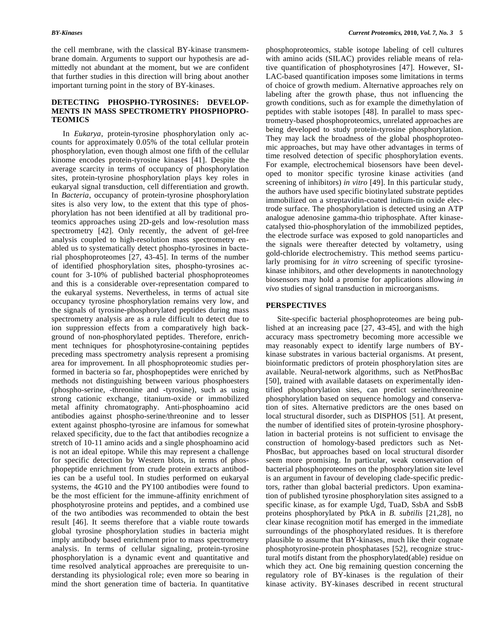the cell membrane, with the classical BY-kinase transmembrane domain. Arguments to support our hypothesis are admittedly not abundant at the moment, but we are confident that further studies in this direction will bring about another important turning point in the story of BY-kinases.

#### **DETECTING PHOSPHO-TYROSINES: DEVELOP-MENTS IN MASS SPECTROMETRY PHOSPHOPRO-TEOMICS**

 In *Eukarya*, protein-tyrosine phosphorylation only accounts for approximately 0.05% of the total cellular protein phosphorylation, even though almost one fifth of the cellular kinome encodes protein-tyrosine kinases [41]. Despite the average scarcity in terms of occupancy of phosphorylation sites, protein-tyrosine phosphorylation plays key roles in eukaryal signal transduction, cell differentiation and growth. In *Bacteria*, occupancy of protein-tyrosine phosphorylation sites is also very low, to the extent that this type of phosphorylation has not been identified at all by traditional proteomics approaches using 2D-gels and low-resolution mass spectrometry [42]. Only recently, the advent of gel-free analysis coupled to high-resolution mass spectrometry enabled us to systematically detect phospho-tyrosines in bacterial phosphoproteomes [27, 43-45]. In terms of the number of identified phosphorylation sites, phospho-tyrosines account for 3-10% of published bacterial phosphoproteomes and this is a considerable over-representation compared to the eukaryal systems. Nevertheless, in terms of actual site occupancy tyrosine phosphorylation remains very low, and the signals of tyrosine-phosphorylated peptides during mass spectrometry analysis are as a rule difficult to detect due to ion suppression effects from a comparatively high background of non-phosphorylated peptides. Therefore, enrichment techniques for phosphotyrosine-containing peptides preceding mass spectrometry analysis represent a promising area for improvement. In all phosphoproteomic studies performed in bacteria so far, phosphopeptides were enriched by methods not distinguishing between various phosphoesters (phospho-serine, -threonine and -tyrosine), such as using strong cationic exchange, titanium-oxide or immobilized metal affinity chromatography. Anti-phosphoamino acid antibodies against phospho-serine/threonine and to lesser extent against phospho-tyrosine are infamous for somewhat relaxed specificity, due to the fact that antibodies recognize a stretch of 10-11 amino acids and a single phosphoamino acid is not an ideal epitope. While this may represent a challenge for specific detection by Western blots, in terms of phosphopeptide enrichment from crude protein extracts antibodies can be a useful tool. In studies performed on eukaryal systems, the 4G10 and the PY100 antibodies were found to be the most efficient for the immune-affinity enrichment of phosphotyrosine proteins and peptides, and a combined use of the two antibodies was recommended to obtain the best result [46]. It seems therefore that a viable route towards global tyrosine phosphorylation studies in bacteria might imply antibody based enrichment prior to mass spectrometry analysis. In terms of cellular signaling, protein-tyrosine phosphorylation is a dynamic event and quantitative and time resolved analytical approaches are prerequisite to understanding its physiological role; even more so bearing in mind the short generation time of bacteria. In quantitative

phosphoproteomics, stable isotope labeling of cell cultures with amino acids (SILAC) provides reliable means of relative quantification of phosphotyrosines [47]. However, SI-LAC-based quantification imposes some limitations in terms of choice of growth medium. Alternative approaches rely on labeling after the growth phase, thus not influencing the growth conditions, such as for example the dimethylation of peptides with stable isotopes [48]. In parallel to mass spectrometry-based phosphoproteomics, unrelated approaches are being developed to study protein-tyrosine phosphorylation. They may lack the broadness of the global phosphoproteomic approaches, but may have other advantages in terms of time resolved detection of specific phosphorylation events. For example, electrochemical biosensors have been developed to monitor specific tyrosine kinase activities (and screening of inhibitors) *in vitro* [49]. In this particular study, the authors have used specific biotinylated substrate peptides immobilized on a streptavidin-coated indium-tin oxide electrode surface. The phosphorylation is detected using an ATP analogue adenosine gamma-thio triphosphate. After kinasecatalysed thio-phosphorylation of the immobilized peptides, the electrode surface was exposed to gold nanoparticles and the signals were thereafter detected by voltametry, using gold-chloride electrochemistry. This method seems particularly promising for *in vitro* screening of specific tyrosinekinase inhibitors, and other developments in nanotechnology biosensors may hold a promise for applications allowing *in vivo* studies of signal transduction in microorganisms.

#### **PERSPECTIVES**

 Site-specific bacterial phosphoproteomes are being published at an increasing pace [27, 43-45], and with the high accuracy mass spectrometry becoming more accessible we may reasonably expect to identify large numbers of BYkinase substrates in various bacterial organisms. At present, bioinformatic predictors of protein phosphorylation sites are available. Neural-network algorithms, such as NetPhosBac [50], trained with available datasets on experimentally identified phosphorylation sites, can predict serine/threonine phosphorylation based on sequence homology and conservation of sites. Alternative predictors are the ones based on local structural disorder, such as DISPHOS [51]. At present, the number of identified sites of protein-tyrosine phosphorylation in bacterial proteins is not sufficient to envisage the construction of homology-based predictors such as Net-PhosBac, but approaches based on local structural disorder seem more promising. In particular, weak conservation of bacterial phosphoproteomes on the phosphorylation site level is an argument in favour of developing clade-specific predictors, rather than global bacterial predictors. Upon examination of published tyrosine phosphorylation sites assigned to a specific kinase, as for example Ugd, TuaD, SsbA and SsbB proteins phosphorylated by PtkA in *B. subtilis* [21,28], no clear kinase recognition motif has emerged in the immediate surroundings of the phosphorylated residues. It is therefore plausible to assume that BY-kinases, much like their cognate phosphotyrosine-protein phosphatases [52], recognize structural motifs distant from the phosphorylated(able) residue on which they act. One big remaining question concerning the regulatory role of BY-kinases is the regulation of their kinase activity. BY-kinases described in recent structural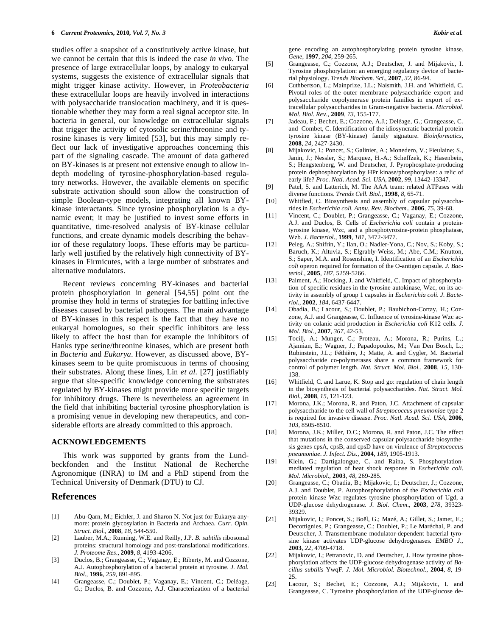studies offer a snapshot of a constitutively active kinase, but we cannot be certain that this is indeed the case *in vivo*. The presence of large extracellular loops, by analogy to eukaryal systems, suggests the existence of extracellular signals that might trigger kinase activity. However, in *Proteobacteria*  these extracellular loops are heavily involved in interactions with polysaccharide translocation machinery, and it is questionable whether they may form a real signal acceptor site. In bacteria in general, our knowledge on extracellular signals that trigger the activity of cytosolic serine/threonine and tyrosine kinases is very limited [53], but this may simply reflect our lack of investigative approaches concerning this part of the signaling cascade. The amount of data gathered on BY-kinases is at present not extensive enough to allow indepth modeling of tyrosine-phosphorylation-based regulatory networks. However, the available elements on specific substrate activation should soon allow the construction of simple Boolean-type models, integrating all known BYkinase interactants. Since tyrosine phosphorylation is a dynamic event; it may be justified to invest some efforts in quantitative, time-resolved analysis of BY-kinase cellular functions, and create dynamic models describing the behavior of these regulatory loops. These efforts may be particularly well justified by the relatively high connectivity of BYkinases in Firmicutes, with a large number of substrates and alternative modulators.

 Recent reviews concerning BY-kinases and bacterial protein phosphorylation in general [54,55] point out the promise they hold in terms of strategies for battling infective diseases caused by bacterial pathogens. The main advantage of BY-kinases in this respect is the fact that they have no eukaryal homologues, so their specific inhibitors are less likely to affect the host than for example the inhibitors of Hanks type serine/threonine kinases, which are present both in *Bacteria* and *Eukarya*. However, as discussed above, BYkinases seem to be quite promiscuous in terms of choosing their substrates. Along these lines, Lin *et al.* [27] justifiably argue that site-specific knowledge concerning the substrates regulated by BY-kinases might provide more specific targets for inhibitory drugs. There is nevertheless an agreement in the field that inhibiting bacterial tyrosine phosphorylation is a promising venue in developing new therapeutics, and considerable efforts are already committed to this approach.

#### **ACKNOWLEDGEMENTS**

 This work was supported by grants from the Lundbeckfonden and the Institut National de Recherche Agronomique (INRA) to IM and a PhD stipend from the Technical University of Denmark (DTU) to CJ.

### **References**

- [1] Abu-Qarn, M.; Eichler, J. and Sharon N. Not just for Eukarya anymore: protein glycosylation in Bacteria and Archaea. *Curr. Opin. Struct. Biol*., **2008**, *18,* 544-550.
- [2] Lauber, M.A.; Running, W.E. and Reilly, J.P. *B. subtilis* ribosomal proteins: structural homology and post-translational modifications. *J. Proteome Res*., **2009**, *8*, 4193-4206.
- [3] Duclos, B.; Grangeasse, C.; Vaganay, E.; Riberty, M. and Cozzone, A.J. Autophosphorylation of a bacterial protein at tyrosine. *J. Mol. Biol.,* **1996**, *259,* 891-895.
- [4] Grangeasse, C.; Doublet, P.; Vaganay, E.; Vincent, C.; Deléage, G.; Duclos, B. and Cozzone, A.J. Characterization of a bacterial

gene encoding an autophosphorylating protein tyrosine kinase. *Gene*, **1997**, *204,* 259-265.

- [5] Grangeasse, C.; Cozzone, A.J.; Deutscher, J. and Mijakovic, I. Tyrosine phosphorylation: an emerging regulatory device of bacterial physiology. *Trends Biochem. Sci.*, **2007**, *32*, 86-94.
- [6] Cuthbertson, L.; Mainprize, I.L.; Naismith, J.H. and Whitfield, C. Pivotal roles of the outer membrane polysaccharide export and polysaccharide copolymerase protein families in export of extracellular polysaccharides in Gram-negative bacteria. *Microbiol. Mol. Biol. Rev.*, **2009**, *73*, 155-177.
- [7] Jadeau, F.; Bechet, E.; Cozzone, A.J.; Deléage, G.; Grangeasse, C. and Combet, C. Identification of the idiosyncratic bacterial protein tyrosine kinase (BY-kinase) family signature. *Bioinformatics*, **2008**, *24*, 2427-2430.
- [8] Mijakovic, I.; Poncet, S.; Galinier, A.; Monedero, V.; Fieulaine; S., Janin, J.; Nessler, S.; Marquez, H.-A.; Scheffzek, K.; Hasenbein, S.; Hengstenberg, W. and Deutscher, J. Pyrophosphate-producing protein dephosphorylation by HPr kinase/phosphorylase: a relic of early life? *Proc. Natl. Acad. Sci. USA,* **2002**, *99*, 13442-13347.
- [9] Patel, S. and Latterich, M. The AAA team: related ATPases with diverse functions. *Trends Cell. Biol.,* **1998**, *8*, 65-71.
- [10] Whitfied, C. Biosynthesis and assembly of capsular polysaccharides in *Escherichia coli. Annu. Rev. Biochem.*, **2006**, *75*, 39-68.
- [11] Vincent, C.; Doublet, P.; Grangeasse, C.; Vaganay, E.; Cozzone, A.J. and Duclos, B. Cells of *Escherichia coli* contain a proteintyrosine kinase, Wzc, and a phosphotyrosine-protein phosphatase, Wzb. *J. Bacteriol*., **1999**, *181*, 3472-3477.
- [12] Peleg, A.; Shifrin, Y.; Ilan, O.; Nadler-Yona, C.; Nov, S.; Koby, S.; Baruch, K.; Altuvia, S.; Elgrably-Weiss, M.; Abe, C.M.; Knutton, S.; Saper, M.A. and Rosenshine, I. Identification of an *Escherichia coli* operon required for formation of the O-antigen capsule. *J. Bacteriol.*, **2005**, *187*, 5259-5266.
- [13] Paiment, A.; Hocking, J. and Whitfield, C. Impact of phosphorylation of specific residues in the tyrosine autokinase, Wzc, on its activity in assembly of group 1 capsules in *Escherichia coli*. *J. Bacteriol.*, **2002**, *184*, 6437-6447.
- [14] Obadia, B.; Lacour, S.; Doublet, P.; Baubichon-Cortay, H.; Cozzone, A.J. and Grangeasse, C. Influence of tyrosine-kinase Wzc activity on colanic acid production in *Escherichia coli* K12 cells. *J. Mol. Biol.*, **2007**, *367*, 42-53.
- [15] Tocilj, A.; Munger, C.; Proteau, A.; Morona, R.; Purins, L.; Ajamian, E.; Wagner, J.; Papadopoulos, M.; Van Den Bosch, L.; Rubinstein, J.L.; Féthière, J.; Matte, A. and Cygler, M. Bacterial polysaccharide co-polymerases share a common framework for control of polymer length. *Nat. Struct. Mol. Biol.*, **2008**, *15*, 130- 138.
- [16] Whitfield, C. and Larue, K. Stop and go: regulation of chain length in the biosynthesis of bacterial polysaccharides. *Nat. Struct. Mol. Biol.,* **2008**, *15*, 121-123.
- [17] Morona, J.K.; Morona, R. and Paton, J.C. Attachment of capsular polysaccharide to the cell wall of *Streptococcus pneumoniae* type 2 is required for invasive disease. *Proc. Natl. Acad. Sci. USA*, **2006**, *103*, 8505-8510.
- [18] Morona, J.K.; Miller, D.C.; Morona, R. and Paton, J.C. The effect that mutations in the conserved capsular polysaccharide biosynthesis genes cpsA, cpsB, and cpsD have on virulence of *Streptococcus pneumoniae*. *J. Infect. Dis.*, **2004**, *189*, 1905-1913.
- [19] Klein, G.; Dartigalongue, C. and Raina, S. Phosphorylationmediated regulation of heat shock response in *Escherichia coli*. *Mol. Microbiol*., **2003**, *48*, 269-285.
- [20] Grangeasse, C.; Obadia, B.; Mijakovic, I.; Deutscher, J.; Cozzone, A.J. and Doublet, P. Autophosphorylation of the *Escherichia coli* protein kinase Wzc regulates tyrosine phosphorylation of Ugd, a UDP-glucose dehydrogenase. *J. Biol. Chem*., **2003**, *278*, 39323- 39329.
- [21] Mijakovic, I.; Poncet, S.; Boël, G.; Mazé, A.; Gillet, S.; Jamet, E.; Decottignies, P.; Grangeasse, C.; Doublet, P.; Le Maréchal, P. and Deutscher, J. Transmembrane modulator-dependent bacterial tyrosine kinase activates UDP-glucose dehydrogenases. *EMBO J*., **2003**, *22*, 4709-4718.
- [22] Mijakovic, I.; Petranovic, D. and Deutscher, J. How tyrosine phosphorylation affects the UDP-glucose dehydrogenase activity of *Bacillus subtilis* YwqF. *J. Mol. Microbiol. Biotechnol*., **2004**, *8*, 19- 25.
- [23] Lacour, S.; Bechet, E.; Cozzone, A.J.; Mijakovic, I. and Grangeasse, C. Tyrosine phosphorylation of the UDP-glucose de-